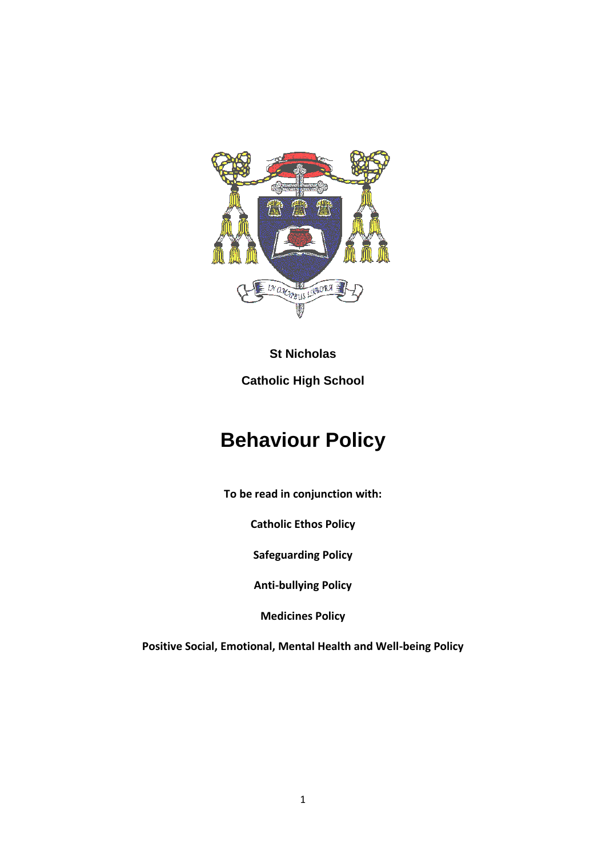

# **St Nicholas Catholic High School**

# **Behaviour Policy**

**To be read in conjunction with:**

**Catholic Ethos Policy**

**Safeguarding Policy**

**Anti-bullying Policy**

**Medicines Policy**

**Positive Social, Emotional, Mental Health and Well-being Policy**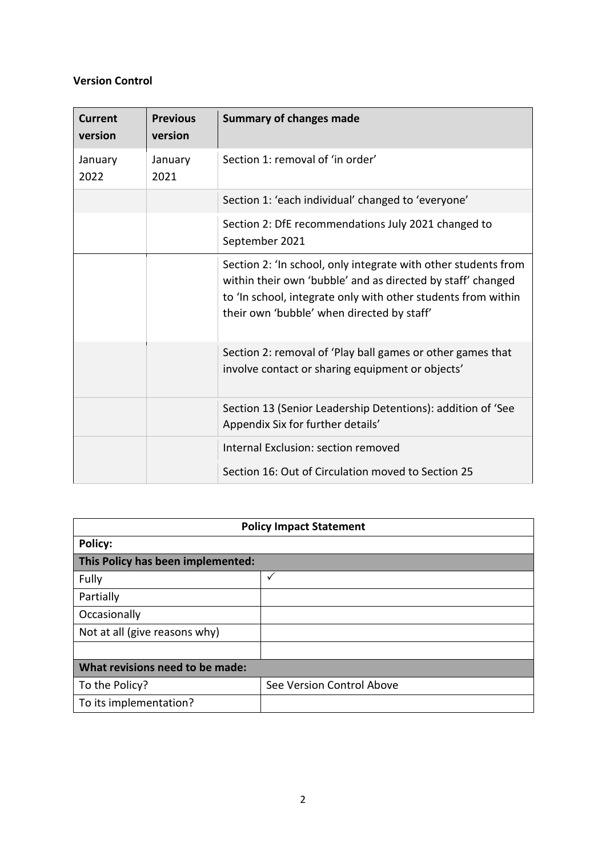## **Version Control**

| <b>Current</b><br>version | <b>Previous</b><br>version | <b>Summary of changes made</b>                                                                                                                                                                                                               |
|---------------------------|----------------------------|----------------------------------------------------------------------------------------------------------------------------------------------------------------------------------------------------------------------------------------------|
| January<br>2022           | January<br>2021            | Section 1: removal of 'in order'                                                                                                                                                                                                             |
|                           |                            | Section 1: 'each individual' changed to 'everyone'                                                                                                                                                                                           |
|                           |                            | Section 2: DfE recommendations July 2021 changed to<br>September 2021                                                                                                                                                                        |
|                           |                            | Section 2: 'In school, only integrate with other students from<br>within their own 'bubble' and as directed by staff' changed<br>to 'In school, integrate only with other students from within<br>their own 'bubble' when directed by staff' |
|                           |                            | Section 2: removal of 'Play ball games or other games that<br>involve contact or sharing equipment or objects'                                                                                                                               |
|                           |                            | Section 13 (Senior Leadership Detentions): addition of 'See<br>Appendix Six for further details'                                                                                                                                             |
|                           |                            | Internal Exclusion: section removed                                                                                                                                                                                                          |
|                           |                            | Section 16: Out of Circulation moved to Section 25                                                                                                                                                                                           |

| <b>Policy Impact Statement</b>    |                           |  |  |  |
|-----------------------------------|---------------------------|--|--|--|
| Policy:                           |                           |  |  |  |
| This Policy has been implemented: |                           |  |  |  |
| Fully                             | ✓                         |  |  |  |
| Partially                         |                           |  |  |  |
| Occasionally                      |                           |  |  |  |
| Not at all (give reasons why)     |                           |  |  |  |
|                                   |                           |  |  |  |
| What revisions need to be made:   |                           |  |  |  |
| To the Policy?                    | See Version Control Above |  |  |  |
| To its implementation?            |                           |  |  |  |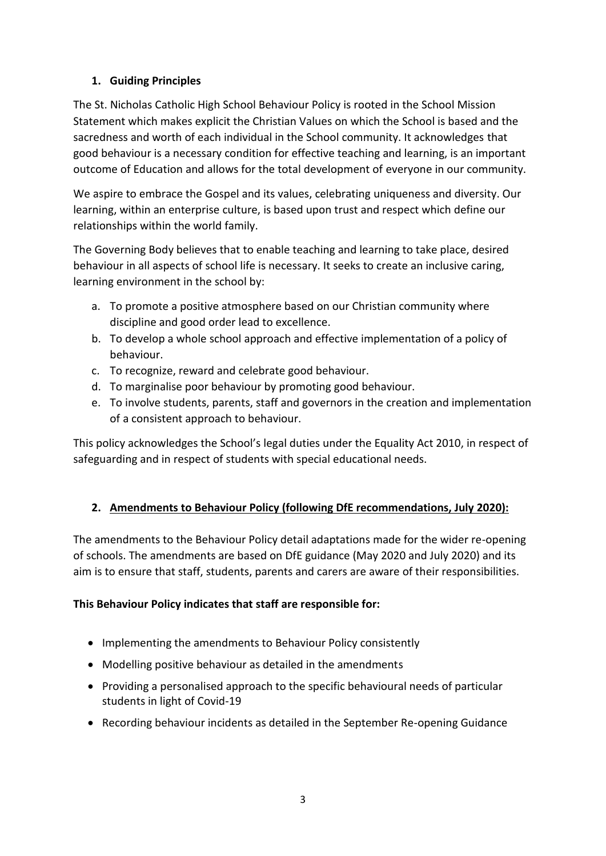## **1. Guiding Principles**

The St. Nicholas Catholic High School Behaviour Policy is rooted in the School Mission Statement which makes explicit the Christian Values on which the School is based and the sacredness and worth of each individual in the School community. It acknowledges that good behaviour is a necessary condition for effective teaching and learning, is an important outcome of Education and allows for the total development of everyone in our community.

We aspire to embrace the Gospel and its values, celebrating uniqueness and diversity. Our learning, within an enterprise culture, is based upon trust and respect which define our relationships within the world family.

The Governing Body believes that to enable teaching and learning to take place, desired behaviour in all aspects of school life is necessary. It seeks to create an inclusive caring, learning environment in the school by:

- a. To promote a positive atmosphere based on our Christian community where discipline and good order lead to excellence.
- b. To develop a whole school approach and effective implementation of a policy of behaviour.
- c. To recognize, reward and celebrate good behaviour.
- d. To marginalise poor behaviour by promoting good behaviour.
- e. To involve students, parents, staff and governors in the creation and implementation of a consistent approach to behaviour.

This policy acknowledges the School's legal duties under the Equality Act 2010, in respect of safeguarding and in respect of students with special educational needs.

## **2. Amendments to Behaviour Policy (following DfE recommendations, July 2020):**

The amendments to the Behaviour Policy detail adaptations made for the wider re-opening of schools. The amendments are based on DfE guidance (May 2020 and July 2020) and its aim is to ensure that staff, students, parents and carers are aware of their responsibilities.

## **This Behaviour Policy indicates that staff are responsible for:**

- Implementing the amendments to Behaviour Policy consistently
- Modelling positive behaviour as detailed in the amendments
- Providing a personalised approach to the specific behavioural needs of particular students in light of Covid-19
- Recording behaviour incidents as detailed in the September Re-opening Guidance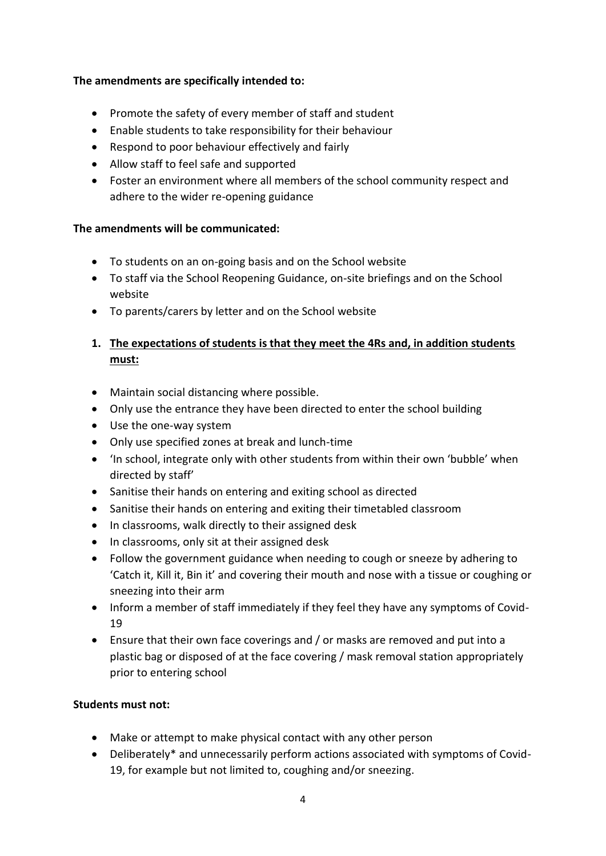## **The amendments are specifically intended to:**

- Promote the safety of every member of staff and student
- Enable students to take responsibility for their behaviour
- Respond to poor behaviour effectively and fairly
- Allow staff to feel safe and supported
- Foster an environment where all members of the school community respect and adhere to the wider re-opening guidance

## **The amendments will be communicated:**

- To students on an on-going basis and on the School website
- To staff via the School Reopening Guidance, on-site briefings and on the School website
- To parents/carers by letter and on the School website

## **1. The expectations of students is that they meet the 4Rs and, in addition students must:**

- Maintain social distancing where possible.
- Only use the entrance they have been directed to enter the school building
- Use the one-way system
- Only use specified zones at break and lunch-time
- 'In school, integrate only with other students from within their own 'bubble' when directed by staff'
- Sanitise their hands on entering and exiting school as directed
- Sanitise their hands on entering and exiting their timetabled classroom
- In classrooms, walk directly to their assigned desk
- In classrooms, only sit at their assigned desk
- Follow the government guidance when needing to cough or sneeze by adhering to 'Catch it, Kill it, Bin it' and covering their mouth and nose with a tissue or coughing or sneezing into their arm
- Inform a member of staff immediately if they feel they have any symptoms of Covid-19
- Ensure that their own face coverings and / or masks are removed and put into a plastic bag or disposed of at the face covering / mask removal station appropriately prior to entering school

## **Students must not:**

- Make or attempt to make physical contact with any other person
- Deliberately\* and unnecessarily perform actions associated with symptoms of Covid-19, for example but not limited to, coughing and/or sneezing.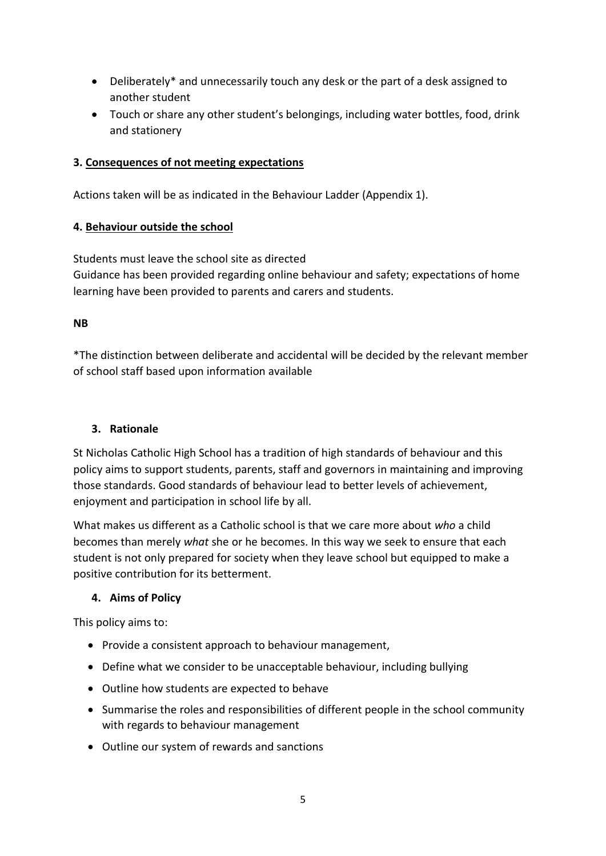- Deliberately\* and unnecessarily touch any desk or the part of a desk assigned to another student
- Touch or share any other student's belongings, including water bottles, food, drink and stationery

## **3. Consequences of not meeting expectations**

Actions taken will be as indicated in the Behaviour Ladder (Appendix 1).

## **4. Behaviour outside the school**

Students must leave the school site as directed Guidance has been provided regarding online behaviour and safety; expectations of home learning have been provided to parents and carers and students.

## **NB**

\*The distinction between deliberate and accidental will be decided by the relevant member of school staff based upon information available

## **3. Rationale**

St Nicholas Catholic High School has a tradition of high standards of behaviour and this policy aims to support students, parents, staff and governors in maintaining and improving those standards. Good standards of behaviour lead to better levels of achievement, enjoyment and participation in school life by all.

What makes us different as a Catholic school is that we care more about *who* a child becomes than merely *what* she or he becomes. In this way we seek to ensure that each student is not only prepared for society when they leave school but equipped to make a positive contribution for its betterment.

## **4. Aims of Policy**

This policy aims to:

- Provide a consistent approach to behaviour management,
- Define what we consider to be unacceptable behaviour, including bullying
- Outline how students are expected to behave
- Summarise the roles and responsibilities of different people in the school community with regards to behaviour management
- Outline our system of rewards and sanctions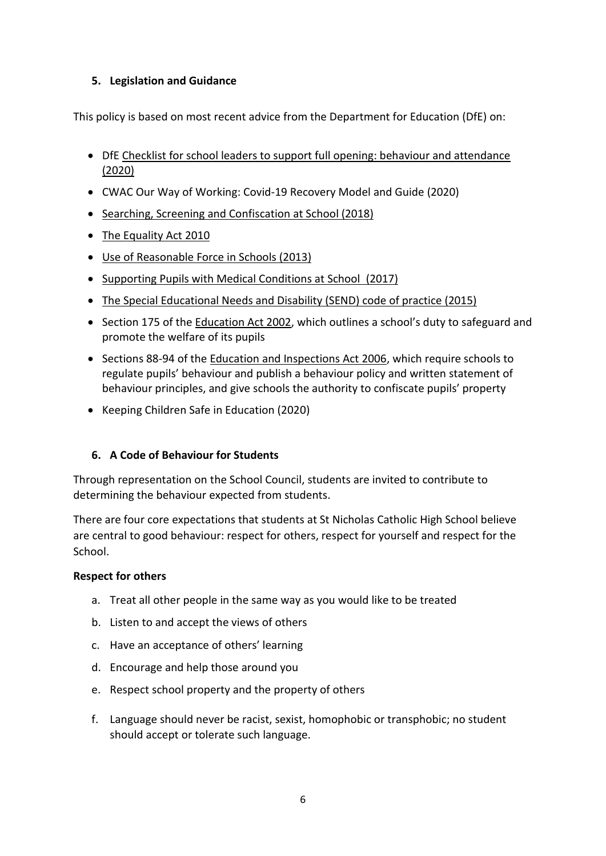## **5. Legislation and Guidance**

This policy is based on most recent advice from the Department for Education (DfE) on:

- DfE [Checklist for school leaders to support full opening: behaviour and attendance](https://www.gov.uk/government/publications/behaviour-and-discipline-in-schools)  [\(2020\)](https://www.gov.uk/government/publications/behaviour-and-discipline-in-schools)
- CWAC Our Way of Working: Covid-19 Recovery Model and Guide (2020)
- [Searching, Screening and Confiscation at School \(2018\)](https://www.gov.uk/government/publications/searching-screening-and-confiscation)
- [The Equality Act 2010](https://www.gov.uk/government/publications/equality-act-2010-advice-for-schools)
- [Use of Reasonable Force in Schools \(2013\)](https://www.gov.uk/government/publications/use-of-reasonable-force-in-schools)
- [Supporting Pupils with Medical Conditions at School](https://www.gov.uk/government/publications/supporting-pupils-at-school-with-medical-conditions--3) (2017)
- The Special Educational Needs and Disability (SEND) code of practice (2015)
- Section 175 of th[e Education Act 2002](http://www.legislation.gov.uk/ukpga/2002/32/section/175), which outlines a school's duty to safeguard and promote the welfare of its pupils
- Sections 88-94 of the [Education and Inspections Act 2006,](http://www.legislation.gov.uk/ukpga/2006/40/section/88) which require schools to regulate pupils' behaviour and publish a behaviour policy and written statement of behaviour principles, and give schools the authority to confiscate pupils' property
- Keeping Children Safe in Education (2020)

## **6. A Code of Behaviour for Students**

Through representation on the School Council, students are invited to contribute to determining the behaviour expected from students.

There are four core expectations that students at St Nicholas Catholic High School believe are central to good behaviour: respect for others, respect for yourself and respect for the School.

## **Respect for others**

- a. Treat all other people in the same way as you would like to be treated
- b. Listen to and accept the views of others
- c. Have an acceptance of others' learning
- d. Encourage and help those around you
- e. Respect school property and the property of others
- f. Language should never be racist, sexist, homophobic or transphobic; no student should accept or tolerate such language.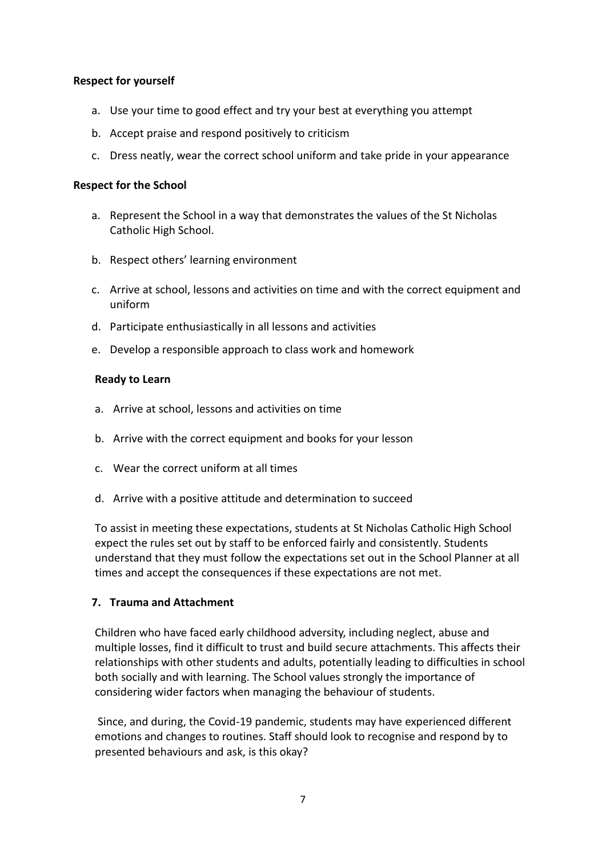#### **Respect for yourself**

- a. Use your time to good effect and try your best at everything you attempt
- b. Accept praise and respond positively to criticism
- c. Dress neatly, wear the correct school uniform and take pride in your appearance

#### **Respect for the School**

- a. Represent the School in a way that demonstrates the values of the St Nicholas Catholic High School.
- b. Respect others' learning environment
- c. Arrive at school, lessons and activities on time and with the correct equipment and uniform
- d. Participate enthusiastically in all lessons and activities
- e. Develop a responsible approach to class work and homework

#### **Ready to Learn**

- a. Arrive at school, lessons and activities on time
- b. Arrive with the correct equipment and books for your lesson
- c. Wear the correct uniform at all times
- d. Arrive with a positive attitude and determination to succeed

To assist in meeting these expectations, students at St Nicholas Catholic High School expect the rules set out by staff to be enforced fairly and consistently. Students understand that they must follow the expectations set out in the School Planner at all times and accept the consequences if these expectations are not met.

#### **7. Trauma and Attachment**

Children who have faced early childhood adversity, including neglect, abuse and multiple losses, find it difficult to trust and build secure attachments. This affects their relationships with other students and adults, potentially leading to difficulties in school both socially and with learning. The School values strongly the importance of considering wider factors when managing the behaviour of students.

Since, and during, the Covid-19 pandemic, students may have experienced different emotions and changes to routines. Staff should look to recognise and respond by to presented behaviours and ask, is this okay?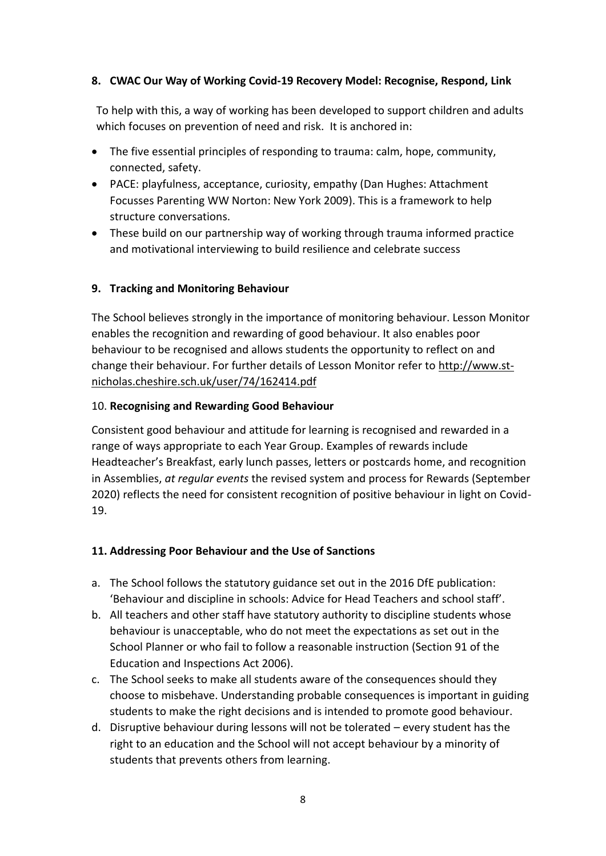## **8. CWAC Our Way of Working Covid-19 Recovery Model: Recognise, Respond, Link**

To help with this, a way of working has been developed to support children and adults which focuses on prevention of need and risk. It is anchored in:

- The five essential principles of responding to trauma: calm, hope, community, connected, safety.
- PACE: playfulness, acceptance, curiosity, empathy (Dan Hughes: Attachment Focusses Parenting WW Norton: New York 2009). This is a framework to help structure conversations.
- These build on our partnership way of working through trauma informed practice and motivational interviewing to build resilience and celebrate success

## **9. Tracking and Monitoring Behaviour**

The School believes strongly in the importance of monitoring behaviour. Lesson Monitor enables the recognition and rewarding of good behaviour. It also enables poor behaviour to be recognised and allows students the opportunity to reflect on and change their behaviour. For further details of Lesson Monitor refer to [http://www.st](http://www.st-nicholas.cheshire.sch.uk/user/74/162414.pdf)[nicholas.cheshire.sch.uk/user/74/162414.pdf](http://www.st-nicholas.cheshire.sch.uk/user/74/162414.pdf)

## 10. **Recognising and Rewarding Good Behaviour**

Consistent good behaviour and attitude for learning is recognised and rewarded in a range of ways appropriate to each Year Group. Examples of rewards include Headteacher's Breakfast, early lunch passes, letters or postcards home, and recognition in Assemblies, *at regular events* the revised system and process for Rewards (September 2020) reflects the need for consistent recognition of positive behaviour in light on Covid-19.

## **11. Addressing Poor Behaviour and the Use of Sanctions**

- a. The School follows the statutory guidance set out in the 2016 DfE publication: 'Behaviour and discipline in schools: Advice for Head Teachers and school staff'.
- b. All teachers and other staff have statutory authority to discipline students whose behaviour is unacceptable, who do not meet the expectations as set out in the School Planner or who fail to follow a reasonable instruction (Section 91 of the Education and Inspections Act 2006).
- c. The School seeks to make all students aware of the consequences should they choose to misbehave. Understanding probable consequences is important in guiding students to make the right decisions and is intended to promote good behaviour.
- d. Disruptive behaviour during lessons will not be tolerated every student has the right to an education and the School will not accept behaviour by a minority of students that prevents others from learning.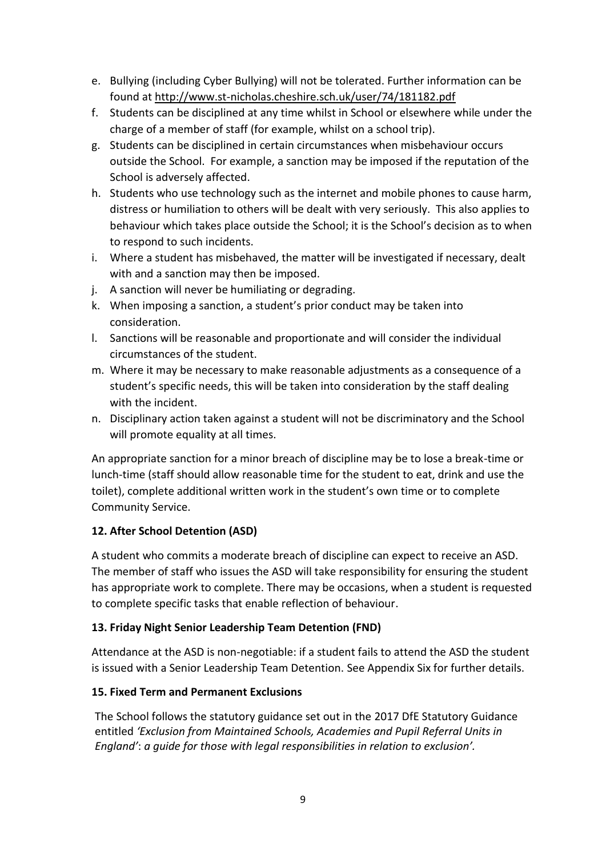- e. Bullying (including Cyber Bullying) will not be tolerated. Further information can be found at<http://www.st-nicholas.cheshire.sch.uk/user/74/181182.pdf>
- f. Students can be disciplined at any time whilst in School or elsewhere while under the charge of a member of staff (for example, whilst on a school trip).
- g. Students can be disciplined in certain circumstances when misbehaviour occurs outside the School. For example, a sanction may be imposed if the reputation of the School is adversely affected.
- h. Students who use technology such as the internet and mobile phones to cause harm, distress or humiliation to others will be dealt with very seriously. This also applies to behaviour which takes place outside the School; it is the School's decision as to when to respond to such incidents.
- i. Where a student has misbehaved, the matter will be investigated if necessary, dealt with and a sanction may then be imposed.
- j. A sanction will never be humiliating or degrading.
- k. When imposing a sanction, a student's prior conduct may be taken into consideration.
- l. Sanctions will be reasonable and proportionate and will consider the individual circumstances of the student.
- m. Where it may be necessary to make reasonable adjustments as a consequence of a student's specific needs, this will be taken into consideration by the staff dealing with the incident.
- n. Disciplinary action taken against a student will not be discriminatory and the School will promote equality at all times.

An appropriate sanction for a minor breach of discipline may be to lose a break-time or lunch-time (staff should allow reasonable time for the student to eat, drink and use the toilet), complete additional written work in the student's own time or to complete Community Service.

## **12. After School Detention (ASD)**

A student who commits a moderate breach of discipline can expect to receive an ASD. The member of staff who issues the ASD will take responsibility for ensuring the student has appropriate work to complete. There may be occasions, when a student is requested to complete specific tasks that enable reflection of behaviour.

## **13. Friday Night Senior Leadership Team Detention (FND)**

Attendance at the ASD is non-negotiable: if a student fails to attend the ASD the student is issued with a Senior Leadership Team Detention. See Appendix Six for further details.

## **15. Fixed Term and Permanent Exclusions**

The School follows the statutory guidance set out in the 2017 DfE Statutory Guidance entitled *'Exclusion from Maintained Schools, Academies and Pupil Referral Units in England'*: *a guide for those with legal responsibilities in relation to exclusion'.*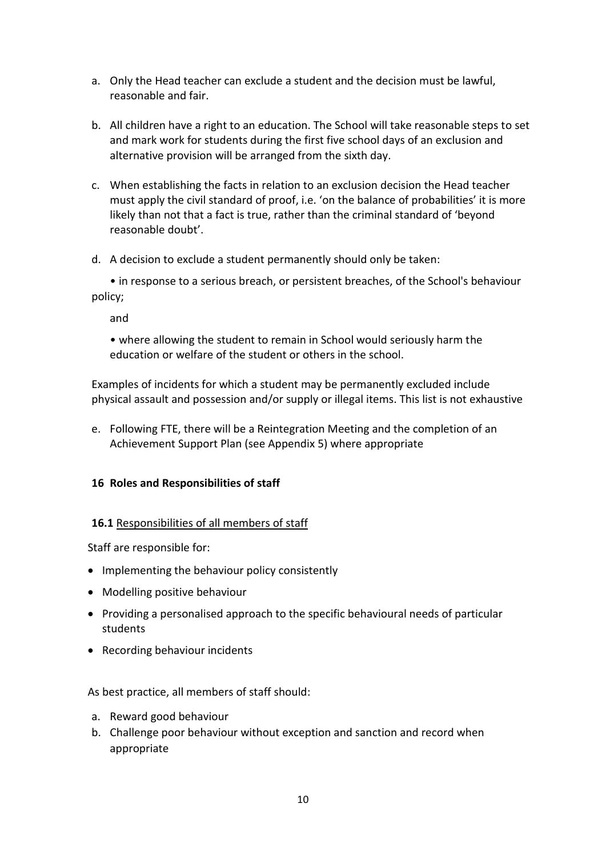- a. Only the Head teacher can exclude a student and the decision must be lawful, reasonable and fair.
- b. All children have a right to an education. The School will take reasonable steps to set and mark work for students during the first five school days of an exclusion and alternative provision will be arranged from the sixth day.
- c. When establishing the facts in relation to an exclusion decision the Head teacher must apply the civil standard of proof, i.e. 'on the balance of probabilities' it is more likely than not that a fact is true, rather than the criminal standard of 'beyond reasonable doubt'.
- d. A decision to exclude a student permanently should only be taken:

• in response to a serious breach, or persistent breaches, of the School's behaviour policy;

and

• where allowing the student to remain in School would seriously harm the education or welfare of the student or others in the school.

Examples of incidents for which a student may be permanently excluded include physical assault and possession and/or supply or illegal items. This list is not exhaustive

e. Following FTE, there will be a Reintegration Meeting and the completion of an Achievement Support Plan (see Appendix 5) where appropriate

## **16 Roles and Responsibilities of staff**

#### **16.1** Responsibilities of all members of staff

Staff are responsible for:

- Implementing the behaviour policy consistently
- Modelling positive behaviour
- Providing a personalised approach to the specific behavioural needs of particular students
- Recording behaviour incidents

As best practice, all members of staff should:

- a. Reward good behaviour
- b. Challenge poor behaviour without exception and sanction and record when appropriate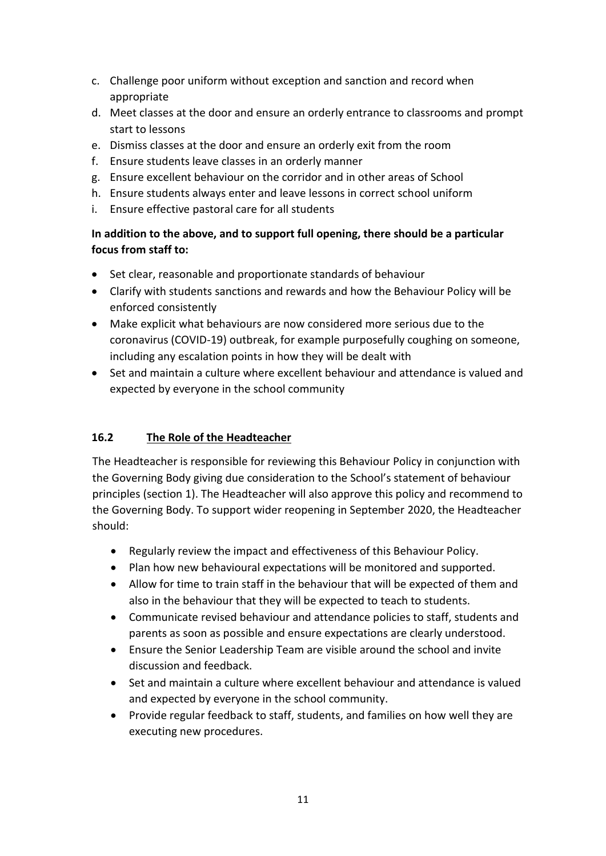- c. Challenge poor uniform without exception and sanction and record when appropriate
- d. Meet classes at the door and ensure an orderly entrance to classrooms and prompt start to lessons
- e. Dismiss classes at the door and ensure an orderly exit from the room
- f. Ensure students leave classes in an orderly manner
- g. Ensure excellent behaviour on the corridor and in other areas of School
- h. Ensure students always enter and leave lessons in correct school uniform
- i. Ensure effective pastoral care for all students

## **In addition to the above, and to support full opening, there should be a particular focus from staff to:**

- Set clear, reasonable and proportionate standards of behaviour
- Clarify with students sanctions and rewards and how the Behaviour Policy will be enforced consistently
- Make explicit what behaviours are now considered more serious due to the coronavirus (COVID-19) outbreak, for example purposefully coughing on someone, including any escalation points in how they will be dealt with
- Set and maintain a culture where excellent behaviour and attendance is valued and expected by everyone in the school community

## **16.2 The Role of the Headteacher**

The Headteacher is responsible for reviewing this Behaviour Policy in conjunction with the Governing Body giving due consideration to the School's statement of behaviour principles (section 1). The Headteacher will also approve this policy and recommend to the Governing Body. To support wider reopening in September 2020, the Headteacher should:

- Regularly review the impact and effectiveness of this Behaviour Policy.
- Plan how new behavioural expectations will be monitored and supported.
- Allow for time to train staff in the behaviour that will be expected of them and also in the behaviour that they will be expected to teach to students.
- Communicate revised behaviour and attendance policies to staff, students and parents as soon as possible and ensure expectations are clearly understood.
- Ensure the Senior Leadership Team are visible around the school and invite discussion and feedback.
- Set and maintain a culture where excellent behaviour and attendance is valued and expected by everyone in the school community.
- Provide regular feedback to staff, students, and families on how well they are executing new procedures.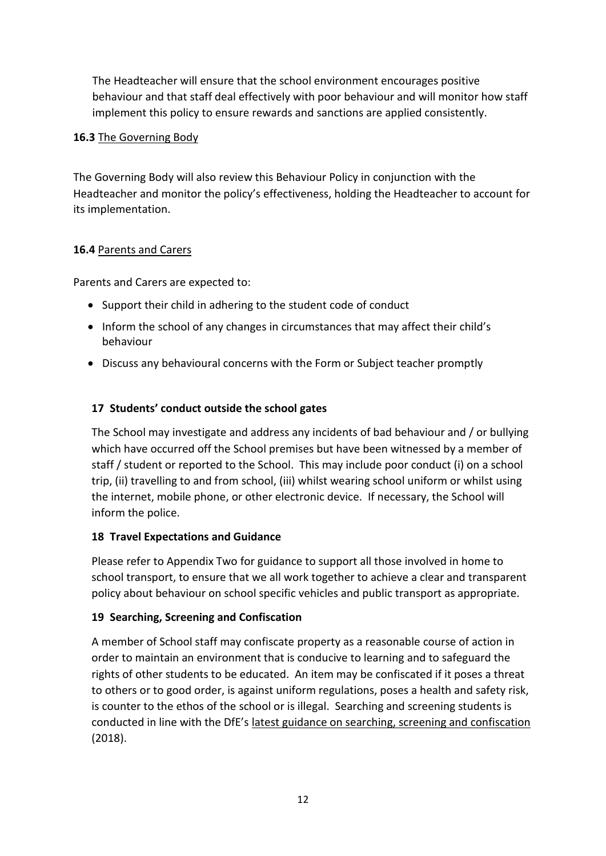The Headteacher will ensure that the school environment encourages positive behaviour and that staff deal effectively with poor behaviour and will monitor how staff implement this policy to ensure rewards and sanctions are applied consistently.

## **16.3** The Governing Body

The Governing Body will also review this Behaviour Policy in conjunction with the Headteacher and monitor the policy's effectiveness, holding the Headteacher to account for its implementation.

## **16.4** Parents and Carers

Parents and Carers are expected to:

- Support their child in adhering to the student code of conduct
- Inform the school of any changes in circumstances that may affect their child's behaviour
- Discuss any behavioural concerns with the Form or Subject teacher promptly

## **17 Students' conduct outside the school gates**

The School may investigate and address any incidents of bad behaviour and / or bullying which have occurred off the School premises but have been witnessed by a member of staff / student or reported to the School. This may include poor conduct (i) on a school trip, (ii) travelling to and from school, (iii) whilst wearing school uniform or whilst using the internet, mobile phone, or other electronic device. If necessary, the School will inform the police.

## **18 Travel Expectations and Guidance**

Please refer to Appendix Two for guidance to support all those involved in home to school transport, to ensure that we all work together to achieve a clear and transparent policy about behaviour on school specific vehicles and public transport as appropriate.

## **19 Searching, Screening and Confiscation**

A member of School staff may confiscate property as a reasonable course of action in order to maintain an environment that is conducive to learning and to safeguard the rights of other students to be educated. An item may be confiscated if it poses a threat to others or to good order, is against uniform regulations, poses a health and safety risk, is counter to the ethos of the school or is illegal. Searching and screening students is conducted in line with the DfE's [latest guidance on searching, screening and confiscation](https://www.gov.uk/government/publications/searching-screening-and-confiscation) (2018).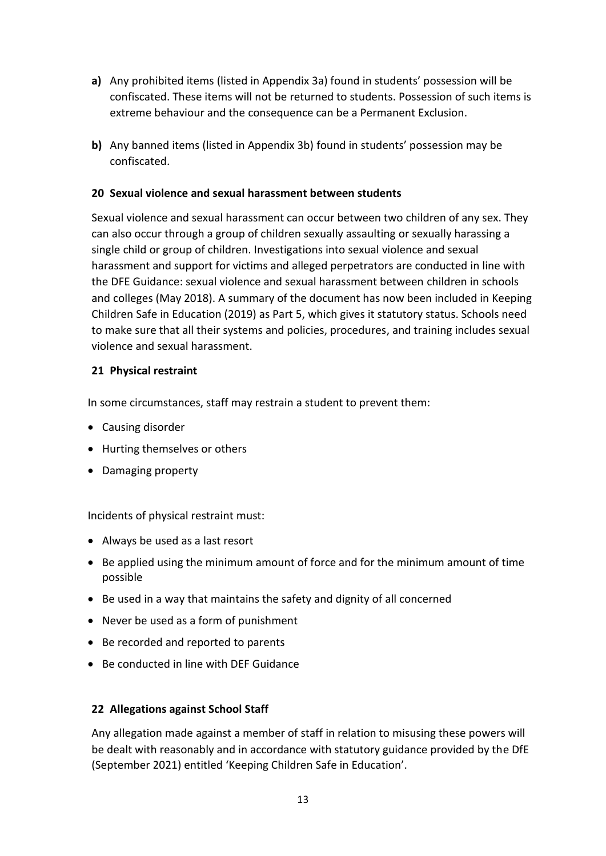- **a)** Any prohibited items (listed in Appendix 3a) found in students' possession will be confiscated. These items will not be returned to students. Possession of such items is extreme behaviour and the consequence can be a Permanent Exclusion.
- **b)** Any banned items (listed in Appendix 3b) found in students' possession may be confiscated.

## **20 Sexual violence and sexual harassment between students**

Sexual violence and sexual harassment can occur between two children of any sex. They can also occur through a group of children sexually assaulting or sexually harassing a single child or group of children. Investigations into sexual violence and sexual harassment and support for victims and alleged perpetrators are conducted in line with the DFE Guidance: sexual violence and sexual harassment between children in schools and colleges (May 2018). A summary of the document has now been included in Keeping Children Safe in Education (2019) as Part 5, which gives it statutory status. Schools need to make sure that all their systems and policies, procedures, and training includes sexual violence and sexual harassment.

## **21 Physical restraint**

In some circumstances, staff may restrain a student to prevent them:

- Causing disorder
- Hurting themselves or others
- Damaging property

Incidents of physical restraint must:

- Always be used as a last resort
- Be applied using the minimum amount of force and for the minimum amount of time possible
- Be used in a way that maintains the safety and dignity of all concerned
- Never be used as a form of punishment
- Be recorded and reported to parents
- Be conducted in line with DEF Guidance

## **22 Allegations against School Staff**

Any allegation made against a member of staff in relation to misusing these powers will be dealt with reasonably and in accordance with statutory guidance provided by the DfE (September 2021) entitled 'Keeping Children Safe in Education'.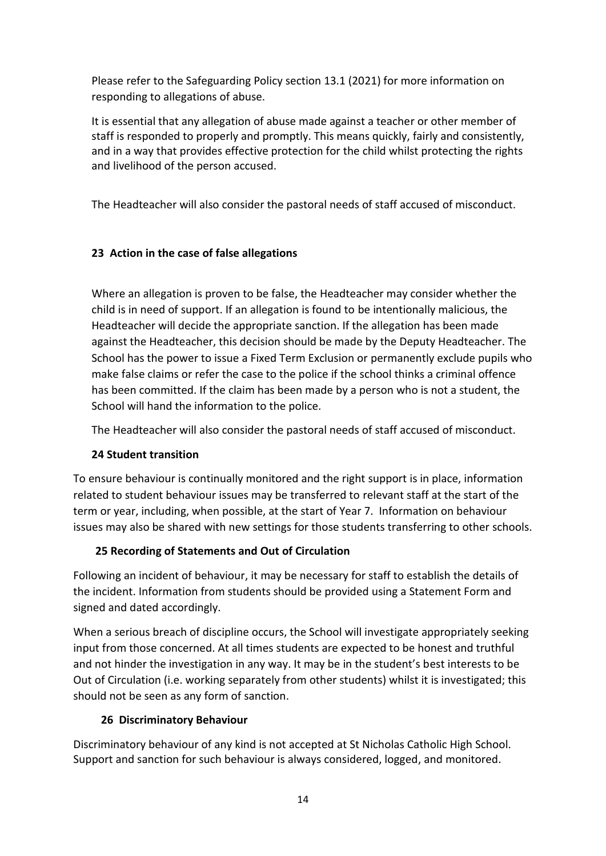Please refer to the Safeguarding Policy section 13.1 (2021) for more information on responding to allegations of abuse.

It is essential that any allegation of abuse made against a teacher or other member of staff is responded to properly and promptly. This means quickly, fairly and consistently, and in a way that provides effective protection for the child whilst protecting the rights and livelihood of the person accused.

The Headteacher will also consider the pastoral needs of staff accused of misconduct.

## **23 Action in the case of false allegations**

Where an allegation is proven to be false, the Headteacher may consider whether the child is in need of support. If an allegation is found to be intentionally malicious, the Headteacher will decide the appropriate sanction. If the allegation has been made against the Headteacher, this decision should be made by the Deputy Headteacher. The School has the power to issue a Fixed Term Exclusion or permanently exclude pupils who make false claims or refer the case to the police if the school thinks a criminal offence has been committed. If the claim has been made by a person who is not a student, the School will hand the information to the police.

The Headteacher will also consider the pastoral needs of staff accused of misconduct.

## **24 Student transition**

To ensure behaviour is continually monitored and the right support is in place, information related to student behaviour issues may be transferred to relevant staff at the start of the term or year, including, when possible, at the start of Year 7. Information on behaviour issues may also be shared with new settings for those students transferring to other schools.

## **25 Recording of Statements and Out of Circulation**

Following an incident of behaviour, it may be necessary for staff to establish the details of the incident. Information from students should be provided using a Statement Form and signed and dated accordingly.

When a serious breach of discipline occurs, the School will investigate appropriately seeking input from those concerned. At all times students are expected to be honest and truthful and not hinder the investigation in any way. It may be in the student's best interests to be Out of Circulation (i.e. working separately from other students) whilst it is investigated; this should not be seen as any form of sanction.

## **26 Discriminatory Behaviour**

Discriminatory behaviour of any kind is not accepted at St Nicholas Catholic High School. Support and sanction for such behaviour is always considered, logged, and monitored.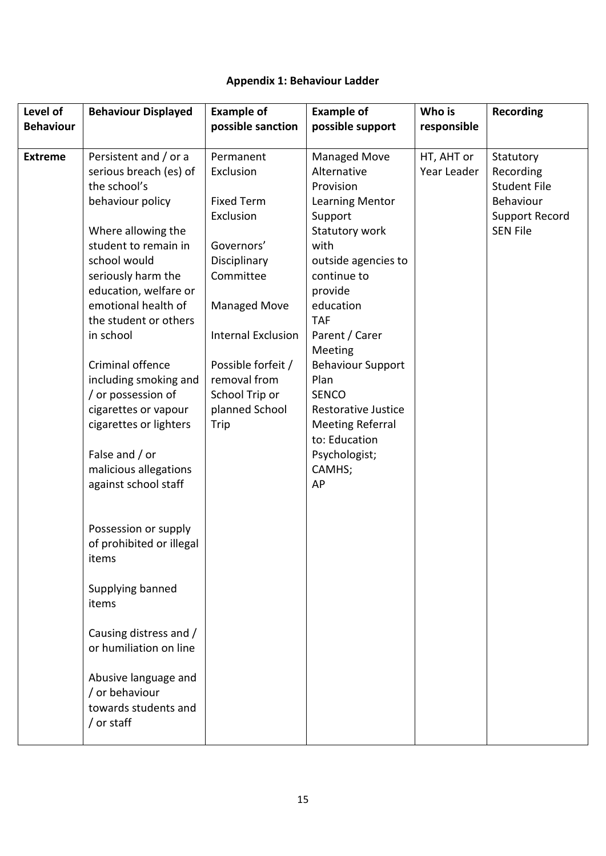# **Appendix 1: Behaviour Ladder**

| Level of<br><b>Behaviour</b> | <b>Behaviour Displayed</b>                                                                                                                                                                                                                                                                                                                                                                                                                                                                                                                      | <b>Example of</b><br>possible sanction                                                                                                                                                                                                    | <b>Example of</b><br>possible support                                                                                                                                                                                                                                                                                                                                                  | Who is<br>responsible     | <b>Recording</b>                                                                                       |
|------------------------------|-------------------------------------------------------------------------------------------------------------------------------------------------------------------------------------------------------------------------------------------------------------------------------------------------------------------------------------------------------------------------------------------------------------------------------------------------------------------------------------------------------------------------------------------------|-------------------------------------------------------------------------------------------------------------------------------------------------------------------------------------------------------------------------------------------|----------------------------------------------------------------------------------------------------------------------------------------------------------------------------------------------------------------------------------------------------------------------------------------------------------------------------------------------------------------------------------------|---------------------------|--------------------------------------------------------------------------------------------------------|
| <b>Extreme</b>               | Persistent and / or a<br>serious breach (es) of<br>the school's<br>behaviour policy<br>Where allowing the<br>student to remain in<br>school would<br>seriously harm the<br>education, welfare or<br>emotional health of<br>the student or others<br>in school<br>Criminal offence<br>including smoking and<br>/ or possession of<br>cigarettes or vapour<br>cigarettes or lighters<br>False and / or<br>malicious allegations<br>against school staff<br>Possession or supply<br>of prohibited or illegal<br>items<br>Supplying banned<br>items | Permanent<br>Exclusion<br><b>Fixed Term</b><br>Exclusion<br>Governors'<br>Disciplinary<br>Committee<br><b>Managed Move</b><br><b>Internal Exclusion</b><br>Possible forfeit /<br>removal from<br>School Trip or<br>planned School<br>Trip | <b>Managed Move</b><br>Alternative<br>Provision<br><b>Learning Mentor</b><br>Support<br>Statutory work<br>with<br>outside agencies to<br>continue to<br>provide<br>education<br><b>TAF</b><br>Parent / Carer<br>Meeting<br><b>Behaviour Support</b><br>Plan<br><b>SENCO</b><br><b>Restorative Justice</b><br><b>Meeting Referral</b><br>to: Education<br>Psychologist;<br>CAMHS;<br>AP | HT, AHT or<br>Year Leader | Statutory<br>Recording<br><b>Student File</b><br>Behaviour<br><b>Support Record</b><br><b>SEN File</b> |
|                              | Causing distress and /<br>or humiliation on line                                                                                                                                                                                                                                                                                                                                                                                                                                                                                                |                                                                                                                                                                                                                                           |                                                                                                                                                                                                                                                                                                                                                                                        |                           |                                                                                                        |
|                              |                                                                                                                                                                                                                                                                                                                                                                                                                                                                                                                                                 |                                                                                                                                                                                                                                           |                                                                                                                                                                                                                                                                                                                                                                                        |                           |                                                                                                        |
|                              | Abusive language and<br>/ or behaviour<br>towards students and<br>/ or staff                                                                                                                                                                                                                                                                                                                                                                                                                                                                    |                                                                                                                                                                                                                                           |                                                                                                                                                                                                                                                                                                                                                                                        |                           |                                                                                                        |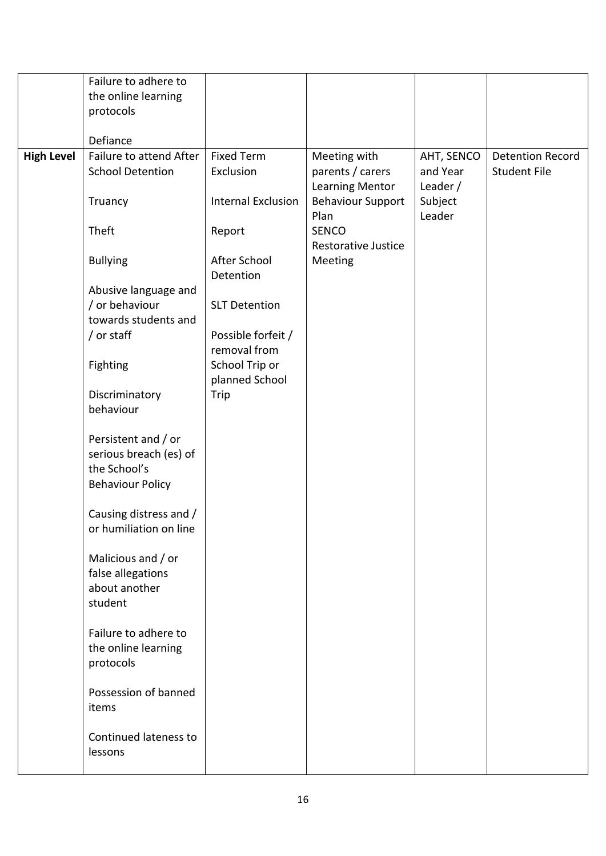|                   | Failure to adhere to    |                           |                            |            |                         |
|-------------------|-------------------------|---------------------------|----------------------------|------------|-------------------------|
|                   | the online learning     |                           |                            |            |                         |
|                   | protocols               |                           |                            |            |                         |
|                   |                         |                           |                            |            |                         |
|                   | Defiance                |                           |                            |            |                         |
| <b>High Level</b> | Failure to attend After | <b>Fixed Term</b>         | Meeting with               | AHT, SENCO | <b>Detention Record</b> |
|                   | <b>School Detention</b> | Exclusion                 | parents / carers           | and Year   | <b>Student File</b>     |
|                   |                         |                           | <b>Learning Mentor</b>     | Leader $/$ |                         |
|                   | Truancy                 | <b>Internal Exclusion</b> | <b>Behaviour Support</b>   | Subject    |                         |
|                   |                         |                           | Plan                       | Leader     |                         |
|                   | Theft                   | Report                    | <b>SENCO</b>               |            |                         |
|                   |                         |                           | <b>Restorative Justice</b> |            |                         |
|                   | <b>Bullying</b>         | After School              | Meeting                    |            |                         |
|                   |                         | Detention                 |                            |            |                         |
|                   | Abusive language and    |                           |                            |            |                         |
|                   | / or behaviour          | <b>SLT Detention</b>      |                            |            |                         |
|                   | towards students and    |                           |                            |            |                         |
|                   | / or staff              | Possible forfeit /        |                            |            |                         |
|                   |                         | removal from              |                            |            |                         |
|                   | Fighting                | School Trip or            |                            |            |                         |
|                   |                         | planned School            |                            |            |                         |
|                   | Discriminatory          | Trip                      |                            |            |                         |
|                   | behaviour               |                           |                            |            |                         |
|                   |                         |                           |                            |            |                         |
|                   | Persistent and / or     |                           |                            |            |                         |
|                   | serious breach (es) of  |                           |                            |            |                         |
|                   | the School's            |                           |                            |            |                         |
|                   | <b>Behaviour Policy</b> |                           |                            |            |                         |
|                   |                         |                           |                            |            |                         |
|                   | Causing distress and /  |                           |                            |            |                         |
|                   | or humiliation on line  |                           |                            |            |                         |
|                   |                         |                           |                            |            |                         |
|                   | Malicious and / or      |                           |                            |            |                         |
|                   | false allegations       |                           |                            |            |                         |
|                   | about another           |                           |                            |            |                         |
|                   | student                 |                           |                            |            |                         |
|                   | Failure to adhere to    |                           |                            |            |                         |
|                   | the online learning     |                           |                            |            |                         |
|                   | protocols               |                           |                            |            |                         |
|                   |                         |                           |                            |            |                         |
|                   | Possession of banned    |                           |                            |            |                         |
|                   | items                   |                           |                            |            |                         |
|                   |                         |                           |                            |            |                         |
|                   | Continued lateness to   |                           |                            |            |                         |
|                   | lessons                 |                           |                            |            |                         |
|                   |                         |                           |                            |            |                         |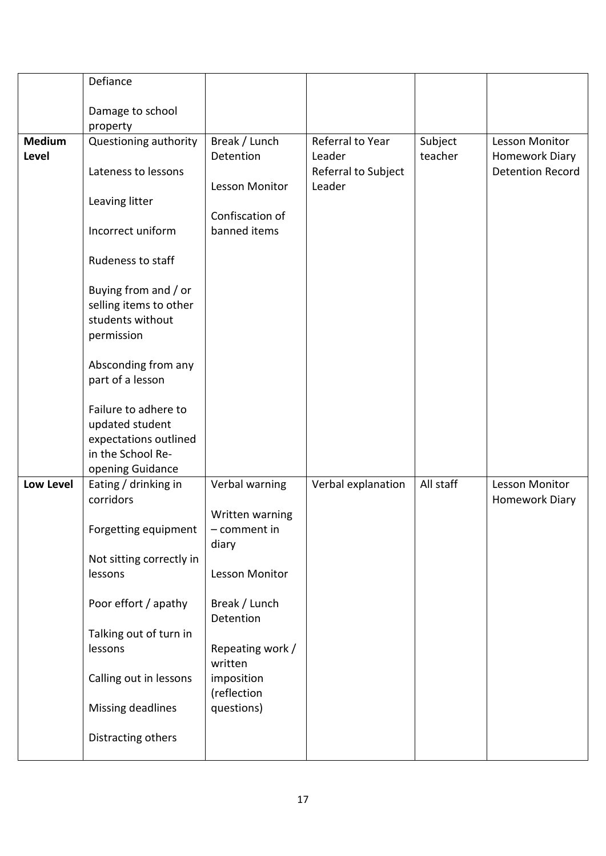|                               | Defiance                                                                                                  |                                          |                               |                    |                                  |
|-------------------------------|-----------------------------------------------------------------------------------------------------------|------------------------------------------|-------------------------------|--------------------|----------------------------------|
|                               | Damage to school                                                                                          |                                          |                               |                    |                                  |
|                               | property                                                                                                  |                                          |                               |                    |                                  |
| <b>Medium</b><br><b>Level</b> | Questioning authority                                                                                     | Break / Lunch<br>Detention               | Referral to Year<br>Leader    | Subject<br>teacher | Lesson Monitor<br>Homework Diary |
|                               | Lateness to lessons                                                                                       | Lesson Monitor                           | Referral to Subject<br>Leader |                    | <b>Detention Record</b>          |
|                               | Leaving litter                                                                                            |                                          |                               |                    |                                  |
|                               | Incorrect uniform                                                                                         | Confiscation of<br>banned items          |                               |                    |                                  |
|                               | Rudeness to staff                                                                                         |                                          |                               |                    |                                  |
|                               | Buying from and / or<br>selling items to other<br>students without<br>permission                          |                                          |                               |                    |                                  |
|                               | Absconding from any<br>part of a lesson                                                                   |                                          |                               |                    |                                  |
|                               | Failure to adhere to<br>updated student<br>expectations outlined<br>in the School Re-<br>opening Guidance |                                          |                               |                    |                                  |
| <b>Low Level</b>              | Eating / drinking in<br>corridors                                                                         | Verbal warning                           | Verbal explanation            | All staff          | Lesson Monitor<br>Homework Diary |
|                               | Forgetting equipment                                                                                      | Written warning<br>- comment in<br>diary |                               |                    |                                  |
|                               | Not sitting correctly in<br>lessons                                                                       | Lesson Monitor                           |                               |                    |                                  |
|                               | Poor effort / apathy                                                                                      | Break / Lunch<br>Detention               |                               |                    |                                  |
|                               | Talking out of turn in<br>lessons                                                                         | Repeating work /<br>written              |                               |                    |                                  |
|                               | Calling out in lessons                                                                                    | imposition<br>(reflection                |                               |                    |                                  |
|                               | Missing deadlines                                                                                         | questions)                               |                               |                    |                                  |
|                               | Distracting others                                                                                        |                                          |                               |                    |                                  |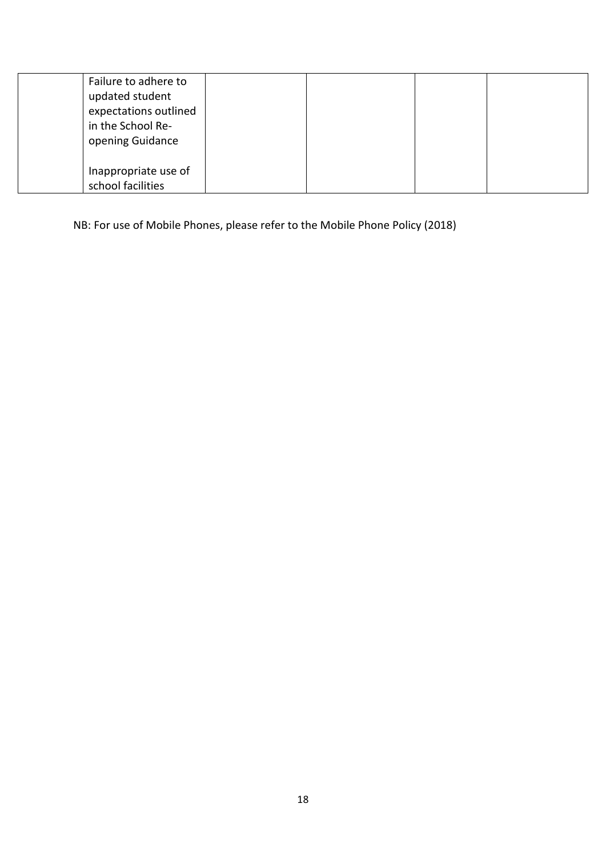| Failure to adhere to<br>updated student<br>expectations outlined<br>in the School Re-<br>opening Guidance |  |  |
|-----------------------------------------------------------------------------------------------------------|--|--|
| Inappropriate use of<br>school facilities                                                                 |  |  |

NB: For use of Mobile Phones, please refer to the Mobile Phone Policy (2018)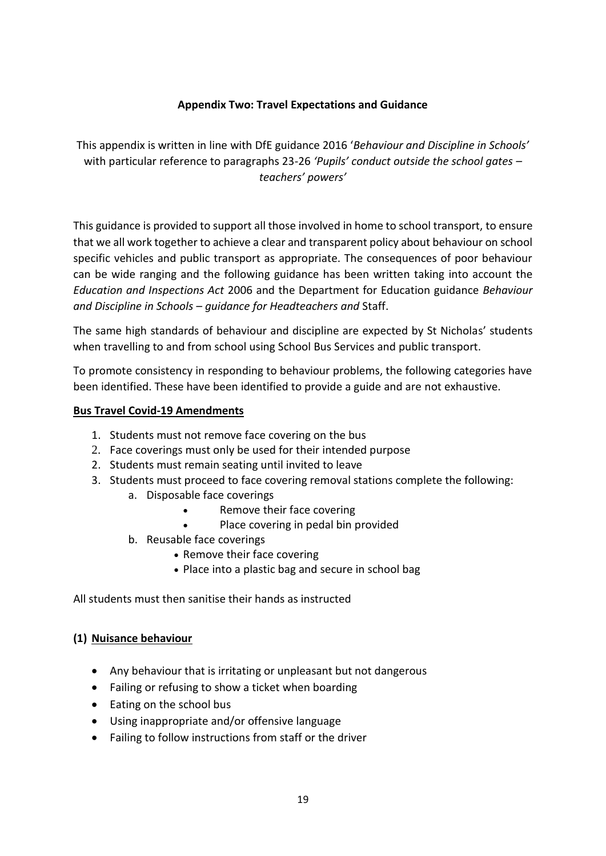## **Appendix Two: Travel Expectations and Guidance**

This appendix is written in line with DfE guidance 2016 '*Behaviour and Discipline in Schools'* with particular reference to paragraphs 23-26 *'Pupils' conduct outside the school gates – teachers' powers'*

This guidance is provided to support all those involved in home to school transport, to ensure that we all work together to achieve a clear and transparent policy about behaviour on school specific vehicles and public transport as appropriate. The consequences of poor behaviour can be wide ranging and the following guidance has been written taking into account the *Education and Inspections Act* 2006 and the Department for Education guidance *Behaviour and Discipline in Schools – guidance for Headteachers and* Staff.

The same high standards of behaviour and discipline are expected by St Nicholas' students when travelling to and from school using School Bus Services and public transport.

To promote consistency in responding to behaviour problems, the following categories have been identified. These have been identified to provide a guide and are not exhaustive.

#### **Bus Travel Covid-19 Amendments**

- 1. Students must not remove face covering on the bus
- 2. Face coverings must only be used for their intended purpose
- 2. Students must remain seating until invited to leave
- 3. Students must proceed to face covering removal stations complete the following:
	- a. Disposable face coverings
		- Remove their face covering
		- Place covering in pedal bin provided
	- b. Reusable face coverings
		- Remove their face covering
		- Place into a plastic bag and secure in school bag

All students must then sanitise their hands as instructed

## **(1) Nuisance behaviour**

- Any behaviour that is irritating or unpleasant but not dangerous
- Failing or refusing to show a ticket when boarding
- Eating on the school bus
- Using inappropriate and/or offensive language
- Failing to follow instructions from staff or the driver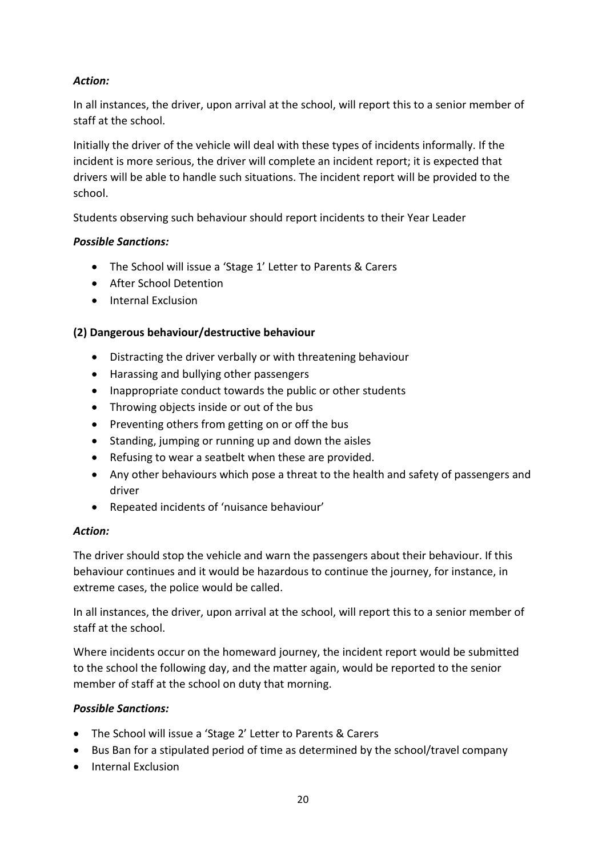## *Action:*

In all instances, the driver, upon arrival at the school, will report this to a senior member of staff at the school.

Initially the driver of the vehicle will deal with these types of incidents informally. If the incident is more serious, the driver will complete an incident report; it is expected that drivers will be able to handle such situations. The incident report will be provided to the school.

Students observing such behaviour should report incidents to their Year Leader

## *Possible Sanctions:*

- The School will issue a 'Stage 1' Letter to Parents & Carers
- After School Detention
- **•** Internal Exclusion

## **(2) Dangerous behaviour/destructive behaviour**

- Distracting the driver verbally or with threatening behaviour
- Harassing and bullying other passengers
- Inappropriate conduct towards the public or other students
- Throwing objects inside or out of the bus
- Preventing others from getting on or off the bus
- Standing, jumping or running up and down the aisles
- Refusing to wear a seatbelt when these are provided.
- Any other behaviours which pose a threat to the health and safety of passengers and driver
- Repeated incidents of 'nuisance behaviour'

## *Action:*

The driver should stop the vehicle and warn the passengers about their behaviour. If this behaviour continues and it would be hazardous to continue the journey, for instance, in extreme cases, the police would be called.

In all instances, the driver, upon arrival at the school, will report this to a senior member of staff at the school.

Where incidents occur on the homeward journey, the incident report would be submitted to the school the following day, and the matter again, would be reported to the senior member of staff at the school on duty that morning.

## *Possible Sanctions:*

- The School will issue a 'Stage 2' Letter to Parents & Carers
- Bus Ban for a stipulated period of time as determined by the school/travel company
- **•** Internal Exclusion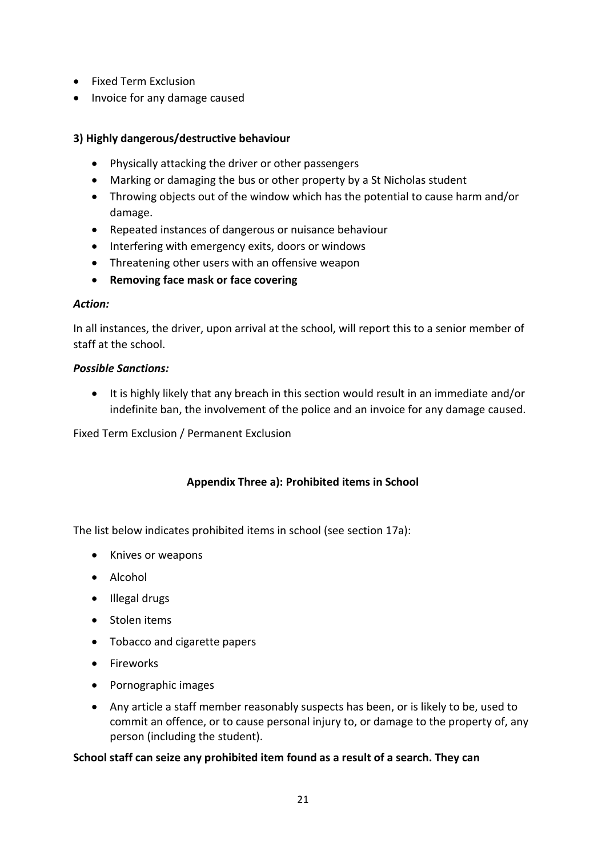- Fixed Term Exclusion
- Invoice for any damage caused

## **3) Highly dangerous/destructive behaviour**

- Physically attacking the driver or other passengers
- Marking or damaging the bus or other property by a St Nicholas student
- Throwing objects out of the window which has the potential to cause harm and/or damage.
- Repeated instances of dangerous or nuisance behaviour
- Interfering with emergency exits, doors or windows
- Threatening other users with an offensive weapon
- **Removing face mask or face covering**

#### *Action:*

In all instances, the driver, upon arrival at the school, will report this to a senior member of staff at the school.

#### *Possible Sanctions:*

 It is highly likely that any breach in this section would result in an immediate and/or indefinite ban, the involvement of the police and an invoice for any damage caused.

Fixed Term Exclusion / Permanent Exclusion

## **Appendix Three a): Prohibited items in School**

The list below indicates prohibited items in school (see section 17a):

- Knives or weapons
- Alcohol
- Illegal drugs
- Stolen items
- Tobacco and cigarette papers
- Fireworks
- Pornographic images
- Any article a staff member reasonably suspects has been, or is likely to be, used to commit an offence, or to cause personal injury to, or damage to the property of, any person (including the student).

## **School staff can seize any prohibited item found as a result of a search. They can**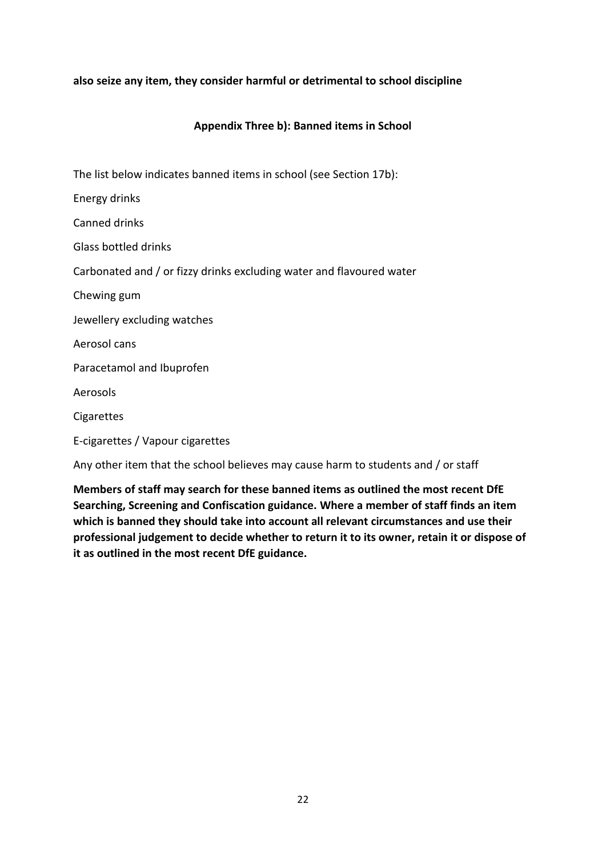## **also seize any item, they consider harmful or detrimental to school discipline**

#### **Appendix Three b): Banned items in School**

The list below indicates banned items in school (see Section 17b):

Energy drinks

Canned drinks

Glass bottled drinks

Carbonated and / or fizzy drinks excluding water and flavoured water

Chewing gum

Jewellery excluding watches

Aerosol cans

Paracetamol and Ibuprofen

Aerosols

**Cigarettes** 

E-cigarettes / Vapour cigarettes

Any other item that the school believes may cause harm to students and / or staff

**Members of staff may search for these banned items as outlined the most recent DfE Searching, Screening and Confiscation guidance. Where a member of staff finds an item which is banned they should take into account all relevant circumstances and use their professional judgement to decide whether to return it to its owner, retain it or dispose of it as outlined in the most recent DfE guidance.**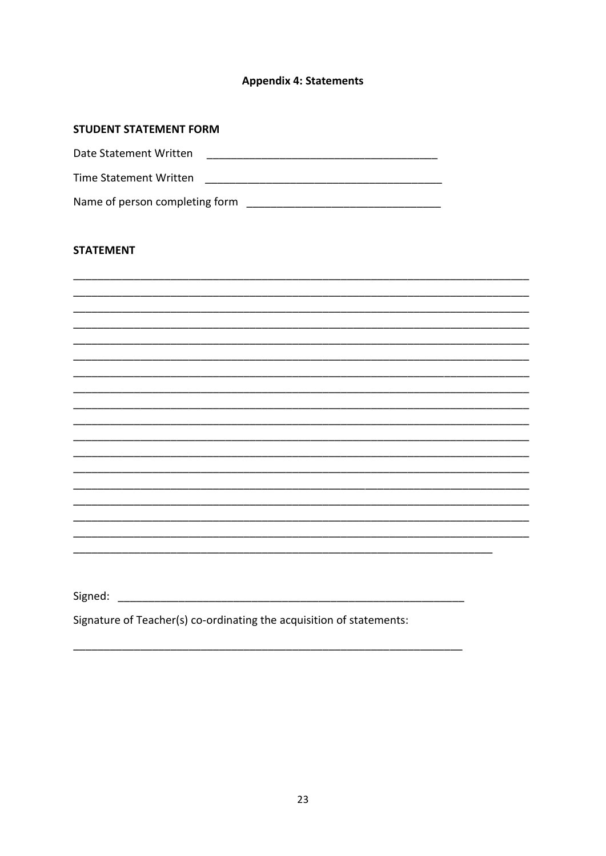## **Appendix 4: Statements**

#### **STUDENT STATEMENT FORM**

| Date Statement Written         |  |
|--------------------------------|--|
| Time Statement Written         |  |
| Name of person completing form |  |

#### **STATEMENT**

| Signed: |  |  |  |
|---------|--|--|--|
|         |  |  |  |

Signature of Teacher(s) co-ordinating the acquisition of statements: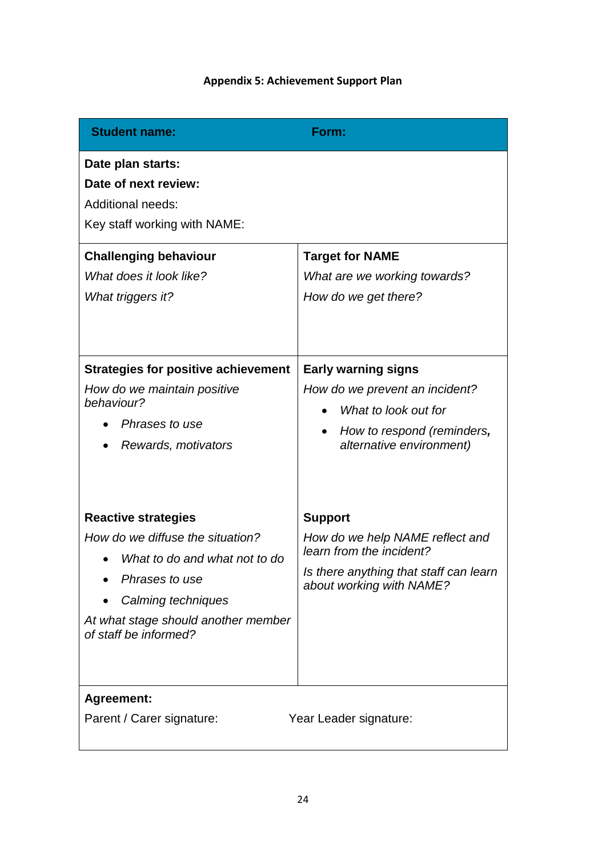# **Appendix 5: Achievement Support Plan**

| <b>Student name:</b>                                                                                                                                                                                    | Form:                                                                                                                                               |
|---------------------------------------------------------------------------------------------------------------------------------------------------------------------------------------------------------|-----------------------------------------------------------------------------------------------------------------------------------------------------|
| Date plan starts:<br>Date of next review:<br><b>Additional needs:</b><br>Key staff working with NAME:                                                                                                   |                                                                                                                                                     |
| <b>Challenging behaviour</b><br>What does it look like?<br>What triggers it?                                                                                                                            | <b>Target for NAME</b><br>What are we working towards?<br>How do we get there?                                                                      |
| <b>Strategies for positive achievement</b><br>How do we maintain positive<br>behaviour?<br>Phrases to use<br>Rewards, motivators                                                                        | <b>Early warning signs</b><br>How do we prevent an incident?<br>What to look out for<br>How to respond (reminders,<br>alternative environment)      |
| <b>Reactive strategies</b><br>How do we diffuse the situation?<br>What to do and what not to do<br>Phrases to use<br>Calming techniques<br>At what stage should another member<br>of staff be informed? | <b>Support</b><br>How do we help NAME reflect and<br>learn from the incident?<br>Is there anything that staff can learn<br>about working with NAME? |
| <b>Agreement:</b><br>Parent / Carer signature:                                                                                                                                                          | Year Leader signature:                                                                                                                              |